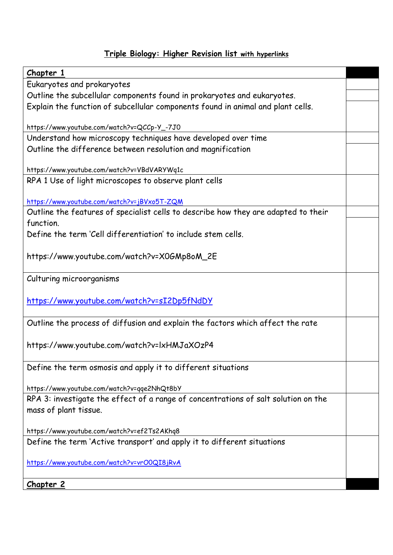## **Triple Biology: Higher Revision list with hyperlinks**

| Chapter 1                                                                          |  |
|------------------------------------------------------------------------------------|--|
| Eukaryotes and prokaryotes                                                         |  |
| Outline the subcellular components found in prokaryotes and eukaryotes.            |  |
|                                                                                    |  |
| Explain the function of subcellular components found in animal and plant cells.    |  |
| https://www.youtube.com/watch?v=QCCp-Y_-7J0                                        |  |
| Understand how microscopy techniques have developed over time                      |  |
| Outline the difference between resolution and magnification                        |  |
|                                                                                    |  |
| https://www.youtube.com/watch?v=VBdVARYWq1c                                        |  |
| RPA 1 Use of light microscopes to observe plant cells                              |  |
|                                                                                    |  |
| https://www.youtube.com/watch?v=jBVxo5T-ZQM                                        |  |
| Outline the features of specialist cells to describe how they are adapted to their |  |
| function.                                                                          |  |
| Define the term 'Cell differentiation' to include stem cells.                      |  |
|                                                                                    |  |
| https://www.youtube.com/watch?v=X0GMp8oM_2E                                        |  |
|                                                                                    |  |
| Culturing microorganisms                                                           |  |
|                                                                                    |  |
| https://www.youtube.com/watch?v=sI2Dp5fNdDY                                        |  |
|                                                                                    |  |
| Outline the process of diffusion and explain the factors which affect the rate     |  |
|                                                                                    |  |
| https://www.youtube.com/watch?v=lxHMJaXOzP4                                        |  |
|                                                                                    |  |
| Define the term osmosis and apply it to different situations                       |  |
|                                                                                    |  |
| https://www.youtube.com/watch?v=qqe2NhQt8bY                                        |  |
| RPA 3: investigate the effect of a range of concentrations of salt solution on the |  |
| mass of plant tissue.                                                              |  |
|                                                                                    |  |
| https://www.youtube.com/watch?v=ef2Ts2AKhq8                                        |  |
| Define the term 'Active transport' and apply it to different situations            |  |
|                                                                                    |  |
| https://www.youtube.com/watch?v=vrO0QI8jRvA                                        |  |
|                                                                                    |  |
| Chapter 2                                                                          |  |
|                                                                                    |  |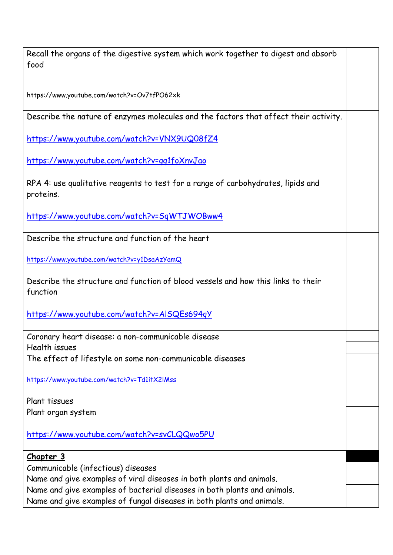| Recall the organs of the digestive system which work together to digest and absorb<br>food    |  |
|-----------------------------------------------------------------------------------------------|--|
|                                                                                               |  |
| https://www.youtube.com/watch?v=Ov7tfPO62xk                                                   |  |
| Describe the nature of enzymes molecules and the factors that affect their activity.          |  |
| https://www.youtube.com/watch?v=VNX9UQ08fZ4                                                   |  |
| https://www.youtube.com/watch?v=qq1foXnvJao                                                   |  |
| RPA 4: use qualitative reagents to test for a range of carbohydrates, lipids and<br>proteins. |  |
| https://www.youtube.com/watch?v=SqWTJWOBww4                                                   |  |
| Describe the structure and function of the heart                                              |  |
| https://www.youtube.com/watch?v=y1DsaAzYamQ                                                   |  |
| Describe the structure and function of blood vessels and how this links to their<br>function  |  |
| https://www.youtube.com/watch?v=AISQEs694qY                                                   |  |
| Coronary heart disease: a non-communicable disease                                            |  |
| Health issues<br>The effect of lifestyle on some non-communicable diseases                    |  |
| https://www.youtube.com/watch?v=Td1itX2lMss                                                   |  |
| Plant tissues                                                                                 |  |
| Plant organ system                                                                            |  |
| https://www.youtube.com/watch?v=svCLQQwo5PU                                                   |  |
| <u>Chapter 3</u>                                                                              |  |
| Communicable (infectious) diseases                                                            |  |
| Name and give examples of viral diseases in both plants and animals.                          |  |
| Name and give examples of bacterial diseases in both plants and animals.                      |  |
| Name and give examples of fungal diseases in both plants and animals.                         |  |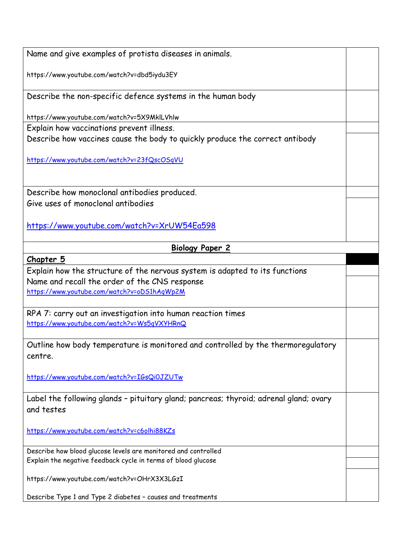Name and give examples of protista diseases in animals. https://www.youtube.com/watch?v=dbd5iydu3EY Describe the non-specific defence systems in the human body https://www.youtube.com/watch?v=5X9MklLVhlw Explain how vaccinations prevent illness. Describe how vaccines cause the body to quickly produce the correct antibody <https://www.youtube.com/watch?v=23fQscOSqVU> Describe how monoclonal antibodies produced. Give uses of monoclonal antibodies <https://www.youtube.com/watch?v=XrUW54Ea598> **Biology Paper 2 Chapter 5** Explain how the structure of the nervous system is adapted to its functions Name and recall the order of the CNS response <https://www.youtube.com/watch?v=oDS1hAqWp2M> RPA 7: carry out an investigation into human reaction times <https://www.youtube.com/watch?v=Ws5qVXYHRnQ> Outline how body temperature is monitored and controlled by the thermoregulatory centre. <https://www.youtube.com/watch?v=IGsQi0JZUTw> Label the following glands – pituitary gland; pancreas; thyroid; adrenal gland; ovary and testes <https://www.youtube.com/watch?v=c6olhi88KZs> Describe how blood glucose levels are monitored and controlled Explain the negative feedback cycle in terms of blood glucose https://www.youtube.com/watch?v=OHrX3X3LGzI Describe Type 1 and Type 2 diabetes – causes and treatments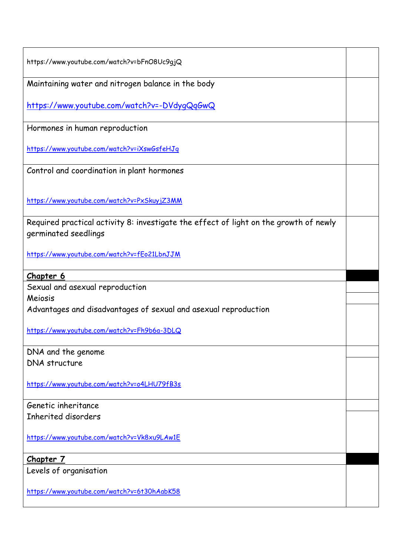| https://www.youtube.com/watch?v=bFnO8Uc9gjQ                                                                   |  |
|---------------------------------------------------------------------------------------------------------------|--|
| Maintaining water and nitrogen balance in the body                                                            |  |
| https://www.youtube.com/watch?v=-DVdygQqGwQ                                                                   |  |
| Hormones in human reproduction                                                                                |  |
| https://www.youtube.com/watch?v=iXswGsfeHJq                                                                   |  |
| Control and coordination in plant hormones                                                                    |  |
| https://www.youtube.com/watch?v=PxSkuyjZ3MM                                                                   |  |
| Required practical activity 8: investigate the effect of light on the growth of newly<br>germinated seedlings |  |
| https://www.youtube.com/watch?v=fEo21LbnJJM                                                                   |  |
| Chapter 6                                                                                                     |  |
| Sexual and asexual reproduction                                                                               |  |
| Meiosis                                                                                                       |  |
| Advantages and disadvantages of sexual and asexual reproduction                                               |  |
| https://www.youtube.com/watch?v=Fh9b6a-3DLQ                                                                   |  |
| DNA and the genome                                                                                            |  |
| <b>DNA</b> structure                                                                                          |  |
| https://www.youtube.com/watch?v=o4LHU79fB3s                                                                   |  |
| Genetic inheritance                                                                                           |  |
| Inherited disorders                                                                                           |  |
| https://www.youtube.com/watch?v=Vk8xu9LAw1E                                                                   |  |
| <u>Chapter 7</u>                                                                                              |  |
| Levels of organisation                                                                                        |  |
| https://www.youtube.com/watch?v=6t30hAabK58                                                                   |  |